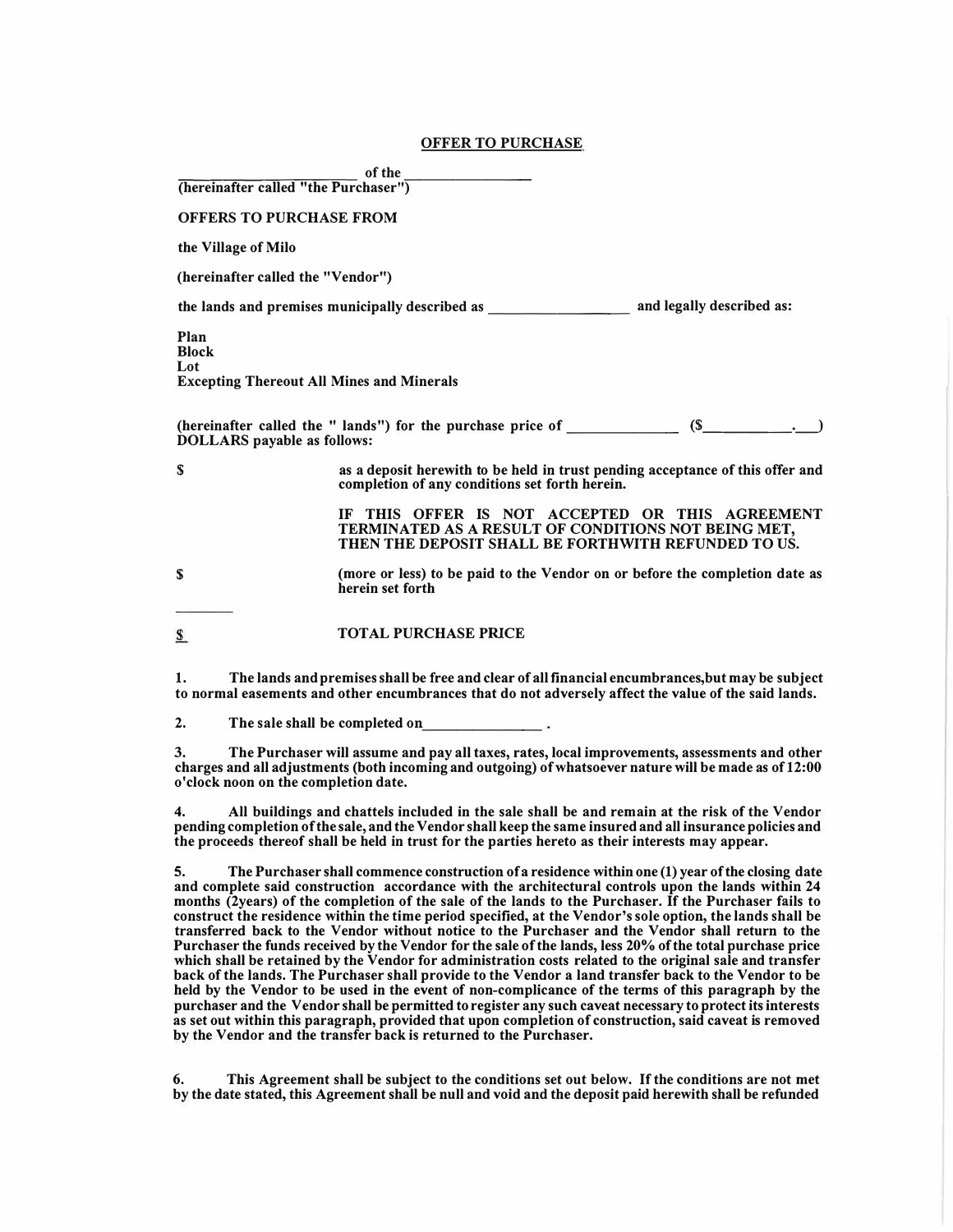| (hereinafter called "the Purchaser")                                            | of the                                                                                                                                                                                                   |
|---------------------------------------------------------------------------------|----------------------------------------------------------------------------------------------------------------------------------------------------------------------------------------------------------|
| <b>OFFERS TO PURCHASE FROM</b>                                                  |                                                                                                                                                                                                          |
| the Village of Milo                                                             |                                                                                                                                                                                                          |
| (hereinafter called the "Vendor")                                               |                                                                                                                                                                                                          |
|                                                                                 |                                                                                                                                                                                                          |
| Plan<br><b>Block</b><br>Lot<br><b>Excepting Thereout All Mines and Minerals</b> |                                                                                                                                                                                                          |
| <b>DOLLARS</b> payable as follows:                                              |                                                                                                                                                                                                          |
| S                                                                               | as a deposit herewith to be held in trust pending acceptance of this offer and<br>completion of any conditions set forth herein.                                                                         |
|                                                                                 | IF THIS OFFER IS NOT ACCEPTED OR THIS AGREEMENT<br>TERMINATED AS A RESULT OF CONDITIONS NOT BEING MET,<br>THEN THE DEPOSIT SHALL BE FORTHWITH REFUNDED TO US.                                            |
| $\mathbf S$                                                                     | (more or less) to be paid to the Vendor on or before the completion date as<br>herein set forth                                                                                                          |
| S                                                                               | <b>TOTAL PURCHASE PRICE</b>                                                                                                                                                                              |
| 1.                                                                              | The lands and premises shall be free and clear of all financial encumbrances, but may be subject<br>to normal easements and other encumbrances that do not adversely affect the value of the said lands. |
| 2.                                                                              | The sale shall be completed on                                                                                                                                                                           |
| 3.                                                                              | The Purchaser will assume and pay all taxes, rates, local improvements, assessments and other<br>charges and all adjustments (both incoming and outgoing) of whatsoever nature will be made as of 12:00  |

**OFFER TO PURCHASE** 

**4. All buildings and chattels included in the sale shall be and remain at the risk of the Vendor pending completion of the sale, and the Vendor shall keep the same insured and all insurance policies and the proceeds thereof shall be held in trust for the parties hereto as their interests may appear.**

**o'clock noon on the completion date.**

**5. The Purchaser shall commence construction of a residence within one (1) year of the closing date and complete said construction accordance with the architectural controls upon the lands within 24 months (2years) of the completion of the sale of the lands to the Purchaser. If the Purchaser fails to construct the residence within the time period specified, at the Vendor's sole option, the lands shall be transferred back to the Vendor without notice to the Purchaser and the Vendor shall return to the Purchaser the funds received by the Vendor for the sale of the lands, less 20% of the total purchase price which shall be retained by the Vendor for administration costs related to the original sale and transfer back of the lands. The Purchaser shall provide to the Vendor a land transfer back to the Vendor to be held by the Vendor to be used in the event of non-complicance of the terms of this paragraph by the purchaser and the Vendor shall be permitted to register any such caveat necessary to protect its interests as set out within this paragraph, provided that upon completion of construction, said caveat is removed by the Vendor and the transfer back is returned to the Purchaser.**

**6. This Agreement shall be subject to the conditions set out below. If the conditions are not met by the date stated, this Agreement shall be null and void and the deposit paid herewith shall be refunded**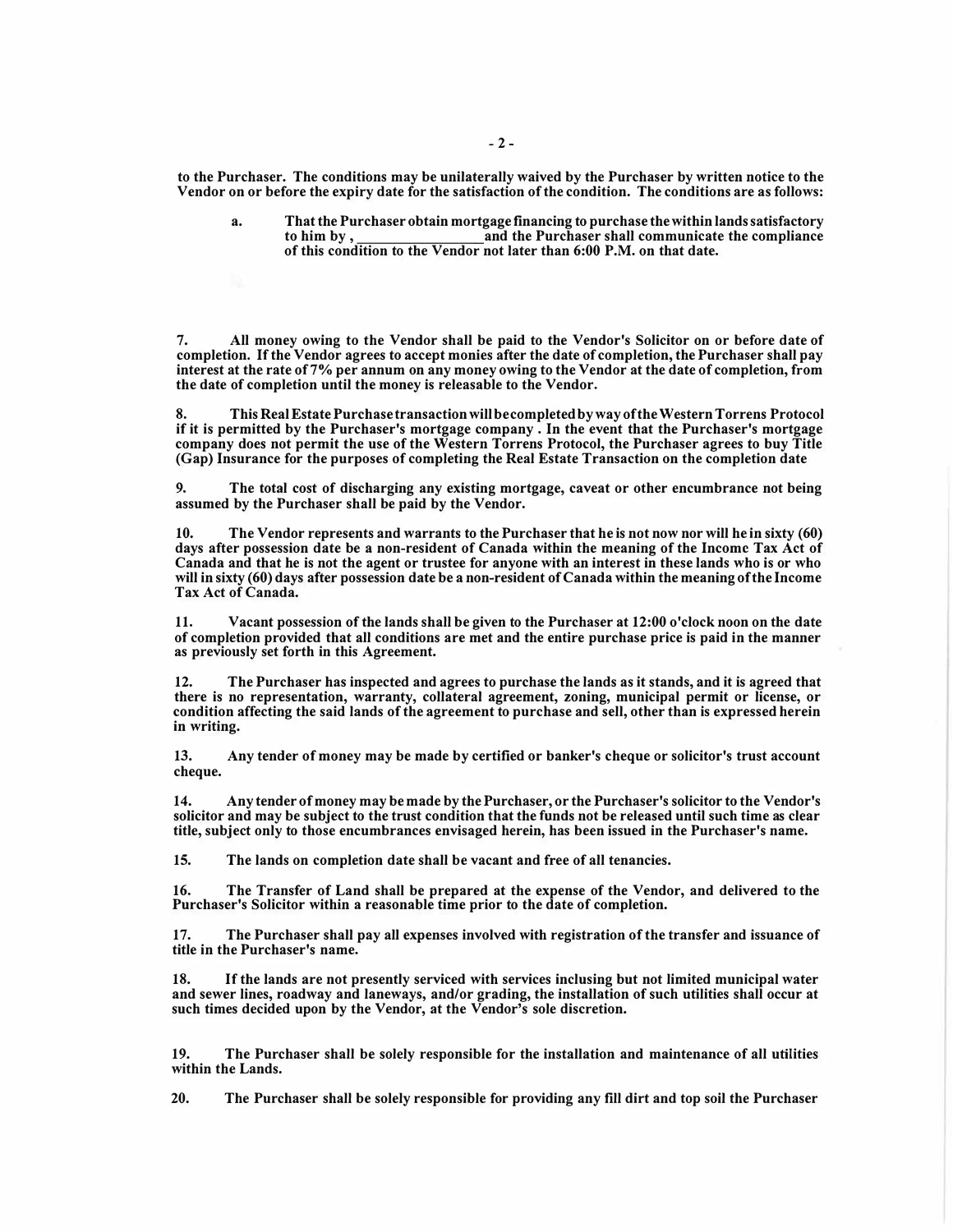**to the Purchaser. The conditions may be unilaterally waived by the Purchaser by written notice to the Vendor on or before the expiry date for the satisfaction of the condition. The conditions are as follows:** 

**a. That the Purchaser obtain mortgage financing to purchase the within lands satisfactory to him by , \_\_\_\_\_\_\_\_ and the Purchaser shall communicate the compliance of this condition to the Vendor not later than 6:00 P.M. on that date.**

**7. All money owing to the Vendor shall be paid to the Vendor's Solicitor on or before date of completion. If the Vendor agrees to accept monies after the date of completion, the Purchaser shall pay interest at the rate of 7% per annum on any money owing to the Vendor at the date of completion, from the date of completion until the money is releasable to the Vendor.**

**8. This Real Estate Purchase transaction will be completed by way of the Western Torrens Protocol if it is permitted by the Purchaser's mortgage company . In the event that the Purchaser's mortgage company does not permit the use of the Western Torrens Protocol, the Purchaser agrees to buy Title (Gap) Insurance for the purposes of completing the Real Estate Transaction on the completion date**

**9. The total cost of discharging any existing mortgage, caveat or other encumbrance not being assumed by the Purchaser shall be paid by the Vendor.**

**10. The Vendor represents and warrants to the Purchaser that he is not now nor will he in sixty (60) days after possession date be a non-resident of Canada within the meaning of the Income Tax Act of Canada and that he is not the agent or trustee for anyone with an interest in these lands who is or who will in sixty (60) days after possession date be a non-resident of Canada within the meaning of the Income Tax Act of Canada.**

**11. Vacant possession of the lands shall be given to the Purchaser at 12:00 o'clock noon on the date of completion provided that all conditions are met and the entire purchase price is paid in the manner as previously set forth in this Agreement.**

**12. The Purchaser has inspected and agrees to purchase the lands as it stands, and it is agreed that there is no representation, warranty, collateral agreement, zoning, municipal permit or license, or condition affecting the said lands of the agreement to purchase and sell, other than is expressed herein in writing.**

**13. Any tender of money may be made by certified or banker's cheque or solicitor's trust account cheque.**

**14. Any tender of money may be made by the Purchaser, or the Purchaser's solicitor to the Vendor's solicitor and may be subject to the trust condition that the funds not be released until such time as clear title, subject only to those encumbrances envisaged herein, has been issued in the Purchaser's name.**

**15. The lands on completion date shall be vacant and free of all tenancies.**

**16. The Transfer of Land shall be prepared at the expense of the Vendor, and delivered to the Purchaser's Solicitor within a reasonable time prior to the date of completion.**

**17. The Purchaser shall pay all expenses involved with registration of the transfer and issuance of title in the Purchaser's name.**

18. If the lands are not presently serviced with services inclusing but not limited municipal water **and sewer lines, roadway and laneways, and/or grading, the installation of such utilities shall occur at such times decided upon by the Vendor, at the Vendor's sole discretion.**

**19. The Purchaser shall be solely responsible for the installation and maintenance of all utilities within the Lands.**

**20. The Purchaser shall be solely responsible for providing any fill dirt and top soil the Purchaser**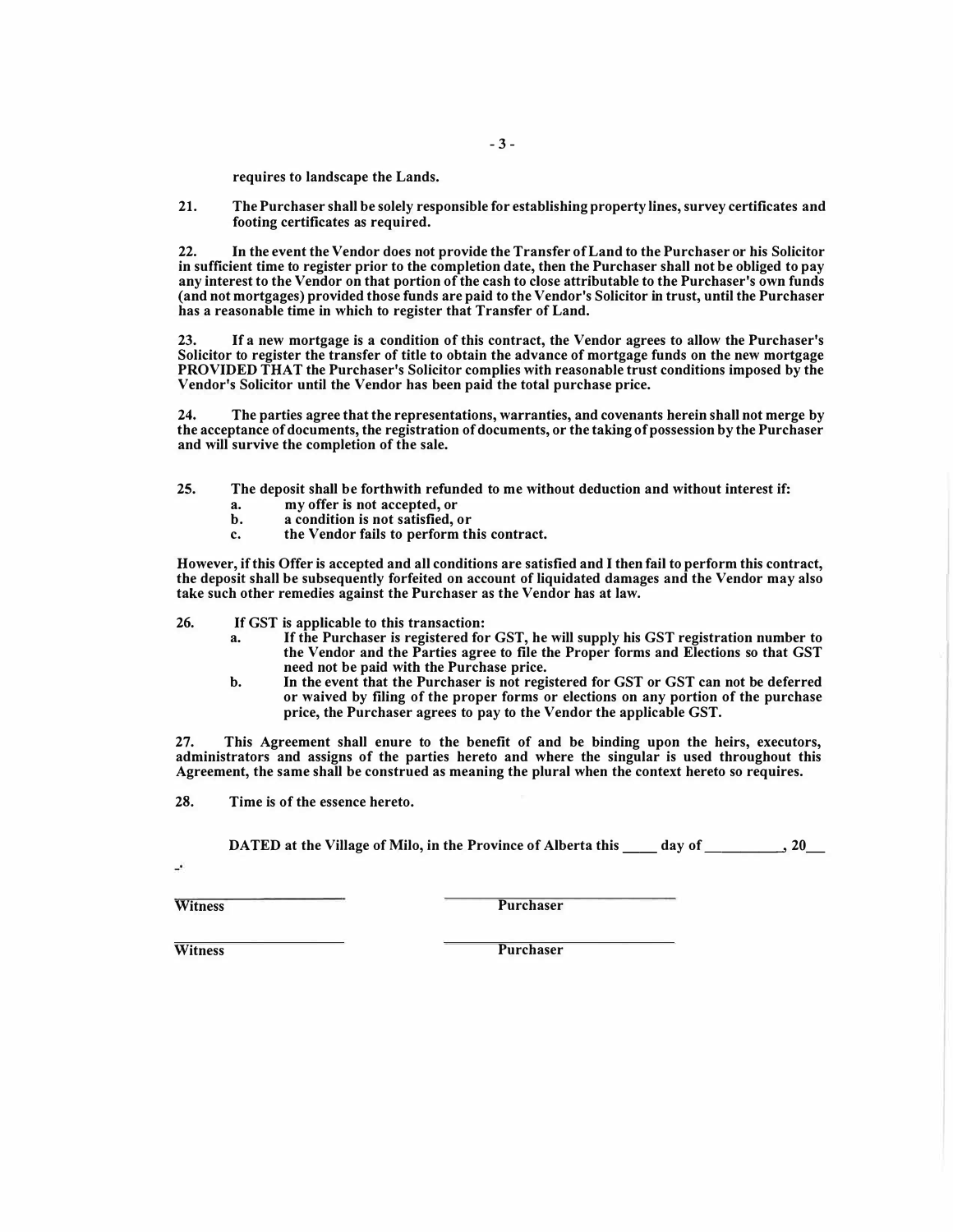**requires to landscape the Lands.** 

**21. The Purchaser shall be solely responsible for establishing property lines, survey certificates and footing certificates as required.**

**22. In the event the Vendor does not provide the Transfer of Land to the Purchaser or his Solicitor in sufficient time to register prior to the completion date, then the Purchaser shall not be obliged to pay any interest to the Vendor on that portion of the cash to close attributable to the Purchaser's own funds (and not mortgages) provided those funds are paid to the Vendor's Solicitor in trust, until the Purchaser has a reasonable time in which to register that Transfer of Land.**

**23. If a new mortgage is a condition of this contract, the Vendor agrees to allow the Purchaser's Solicitor to register the transfer of title to obtain the advance of mortgage funds on the new mortgage PROVIDED THAT the Purchaser's Solicitor complies with reasonable trust conditions imposed by the Vendor's Solicitor until the Vendor has been paid the total purchase price.**

**24. The parties agree that the representations, warranties, and covenants herein shall not merge by the acceptance of documents, the registration of documents, or the taking of possession by the Purchaser and will survive the completion of the sale.**

- **25. The deposit shall be forthwith refunded to me without deduction and without interest if:**
	- **a. my offer is not accepted, or**
	- **b. a condition is not satisfied, or**
	- **c. the Vendor fails to perform this contract.**

**However, if this Offer is accepted and all conditions are satisfied and I then fail to perform this contract, the deposit shall be subsequently forfeited on account of liquidated damages and the Vendor may also take such other remedies against the Purchaser as the Vendor has at law.** 

**26. If GST is applicable to this transaction:**

- **a. If the Purchaser is registered for GST, he will supply his GST registration number to the Vendor and the Parties agree to file the Proper forms and Elections so that GST need not be paid with the Purchase price.**
- **b. In the event that the Purchaser is not registered for GST or GST can not be deferred or waived by filing of the proper forms or elections on any portion of the purchase price, the Purchaser agrees to pay to the Vendor the applicable GST.**

**27. This Agreement shall enure to the benefit of and be binding upon the heirs, executors, administrators and assigns of the parties hereto and where the singular is used throughout this Agreement, the same shall be construed as meaning the plural when the context hereto so requires.**

**28. Time is of the essence hereto.**

**DATED at the Village of Milo, in the Province of Alberta this day of** , 20

Witness **Purchaser Purchaser** 

**Witness Purchaser**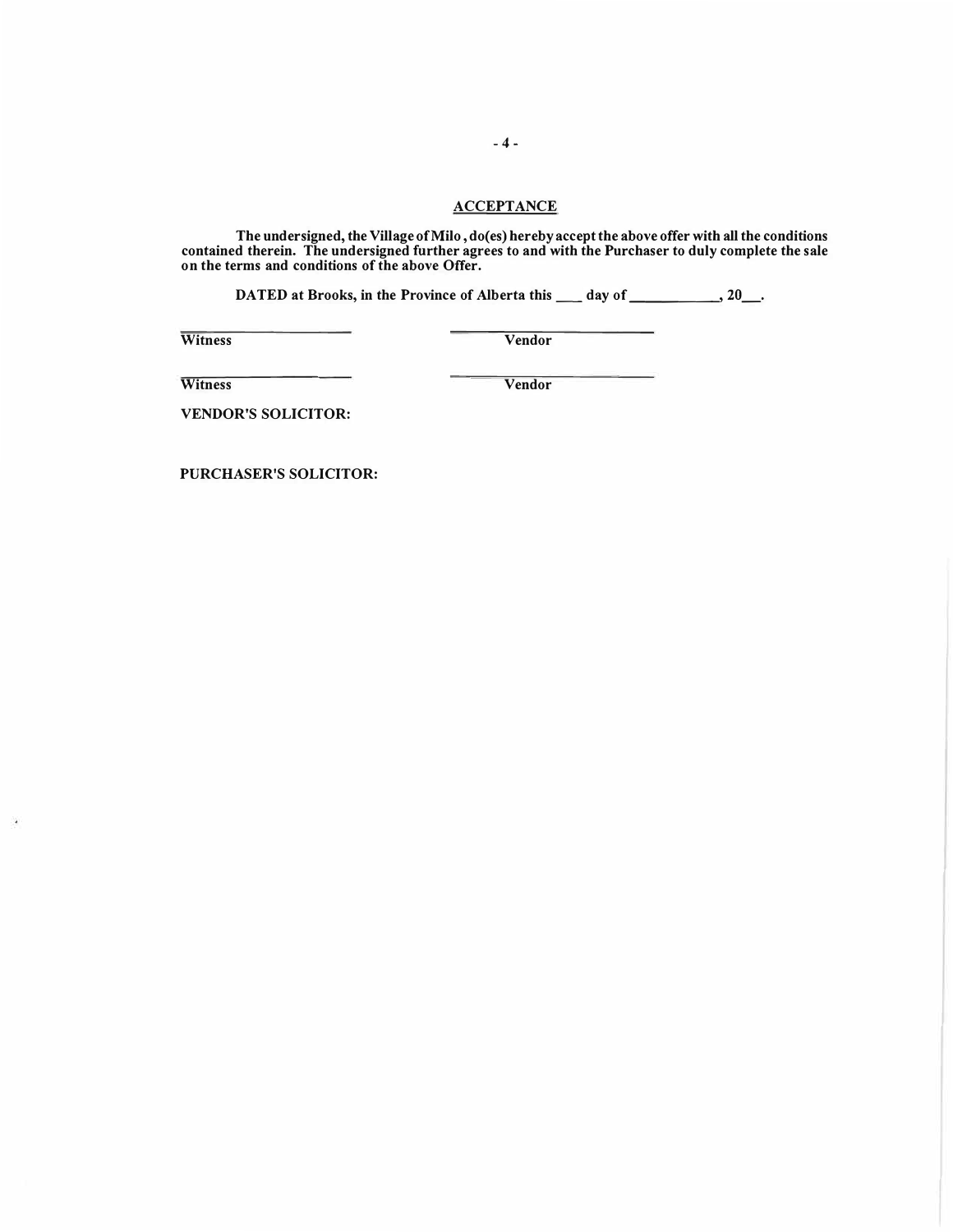### **ACCEPTANCE**

**The undersigned, the Village of Milo , do( es) hereby accept the above offer with all the conditions contained therein. The undersigned further agrees to and with the Purchaser to duly complete the sale on the terms and conditions of the above Offer.** 

DATED at Brooks, in the Province of Alberta this \_\_\_ day of \_\_\_\_\_\_\_\_\_, 20\_\_.

**Witness Vendor** 

**Witness Vendor** 

 $\blacksquare$ 

**VENDOR'S SOLICITOR:** 

**PURCHASER'S SOLICITOR:**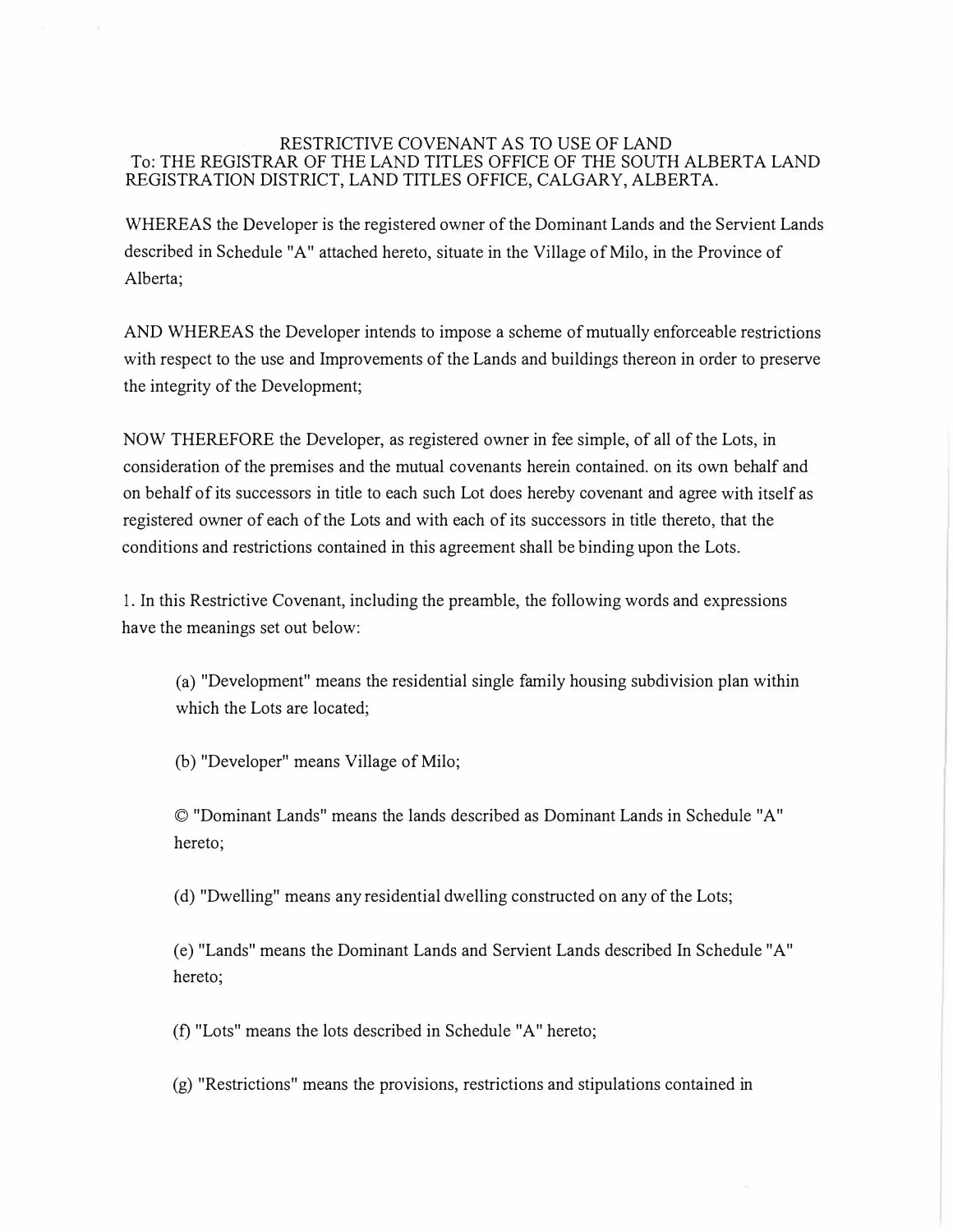### RESTRICTIVE COVENANT AS TO USE OF LAND To: THE REGISTRAR OF THE LAND TITLES OFFICE OF THE SOUTH ALBERTA LAND REGISTRATION DISTRICT, LAND TITLES OFFICE, CALGARY, ALBERTA.

WHEREAS the Developer is the registered owner of the Dominant Lands and the Servient Lands described in Schedule "A" attached hereto, situate in the Village of Milo, in the Province of Alberta;

AND WHEREAS the Developer intends to impose a scheme of mutually enforceable restrictions with respect to the use and Improvements of the Lands and buildings thereon in order to preserve the integrity of the Development;

NOW THEREFORE the Developer, as registered owner in fee simple, of all of the Lots, in consideration of the premises and the mutual covenants herein contained. on its own behalf and on behalf of its successors in title to each such Lot does hereby covenant and agree with itself as registered owner of each of the Lots and with each of its successors in title thereto, that the conditions and restrictions contained in this agreement shall be binding upon the Lots.

1. In this Restrictive Covenant, including the preamble, the following words and expressions have the meanings set out below:

(a) "Development" means the residential single family housing subdivision plan within which the Lots are located;

(b) "Developer" means Village of Milo;

© "Dominant Lands" means the lands described as Dominant Lands in Schedule "A" hereto;

( d) "Dwelling" means any residential dwelling constructed on any of the Lots;

(e) "Lands" means the Dominant Lands and Servient Lands described In Schedule "A" hereto;

(f) "Lots" means the lots described in Schedule "A" hereto;

(g) "Restrictions" means the provisions, restrictions and stipulations contained in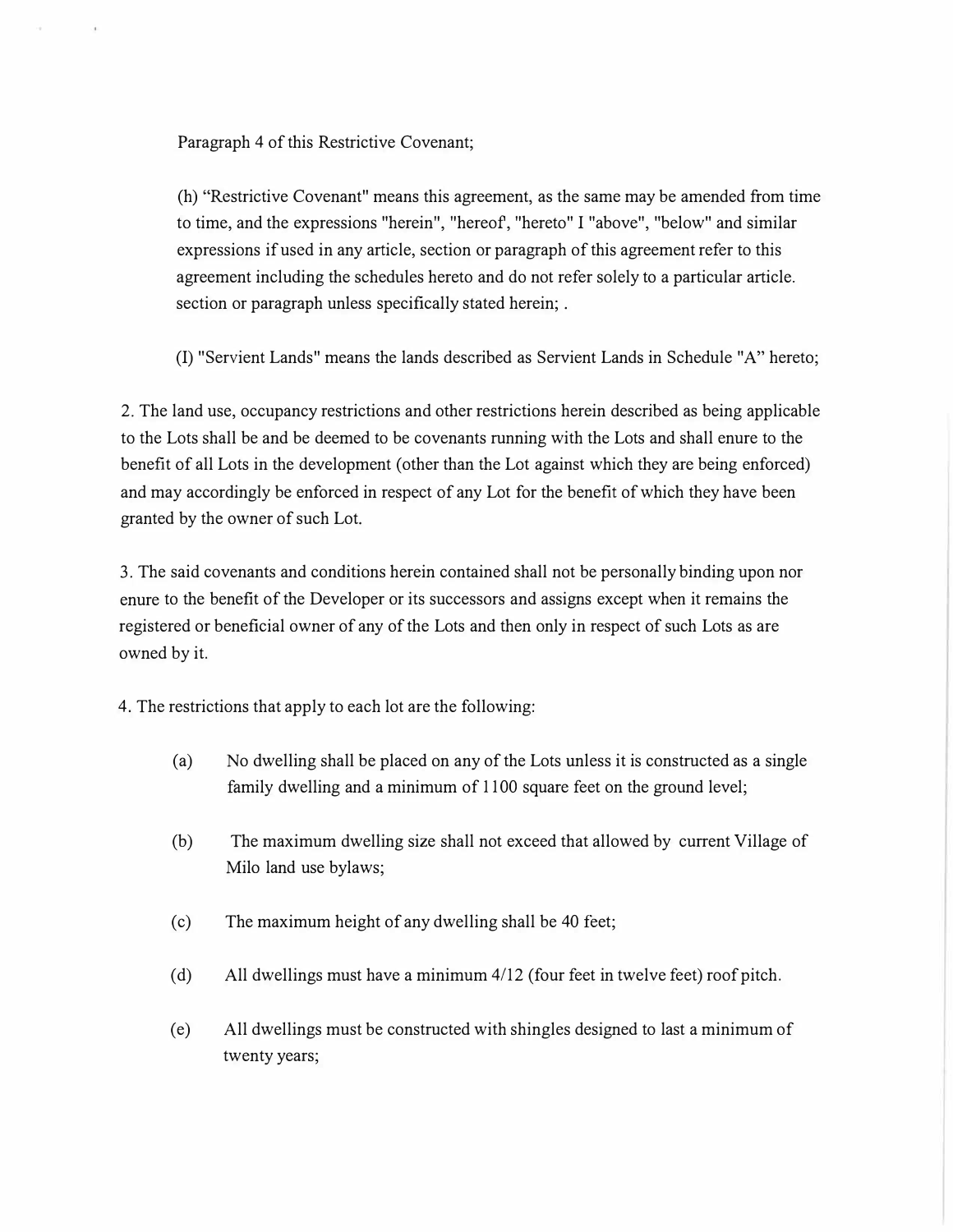Paragraph 4 of this Restrictive Covenant;

(h) "Restrictive Covenant" means this agreement, as the same may be amended from time to time, and the expressions "herein", "hereof, "hereto" I "above", "below" and similar expressions if used in any article, section or paragraph of this agreement refer to this agreement including the schedules hereto and do not refer solely to a particular article. section or paragraph unless specifically stated herein; .

(I) "Servient Lands" means the lands described as Servient Lands in Schedule "A" hereto;

2. The land use, occupancy restrictions and other restrictions herein described as being applicable to the Lots shall be and be deemed to be covenants running with the Lots and shall enure to the benefit of all Lots in the development ( other than the Lot against which they are being enforced) and may accordingly be enforced in respect of any Lot for the benefit of which they have been granted by the owner of such Lot.

3. The said covenants and conditions herein contained shall not be personally binding upon nor enure to the benefit of the Developer or its successors and assigns except when it remains the registered or beneficial owner of any of the Lots and then only in respect of such Lots as are owned by it.

4. The restrictions that apply to each lot are the following:

- (a) No dwelling shall be placed on any of the Lots unless it is constructed as a single family dwelling and a minimum of 1100 square feet on the ground level;
- (b) The maximum dwelling size shall not exceed that allowed by current Village of Milo land use bylaws;
- ( c) The maximum height of any dwelling shall be 40 feet;
- (d) All dwellings must have a minimum 4/12 (four feet in twelve feet) roof pitch.
- ( e) All dwellings must be constructed with shingles designed to last a minimum of twenty years;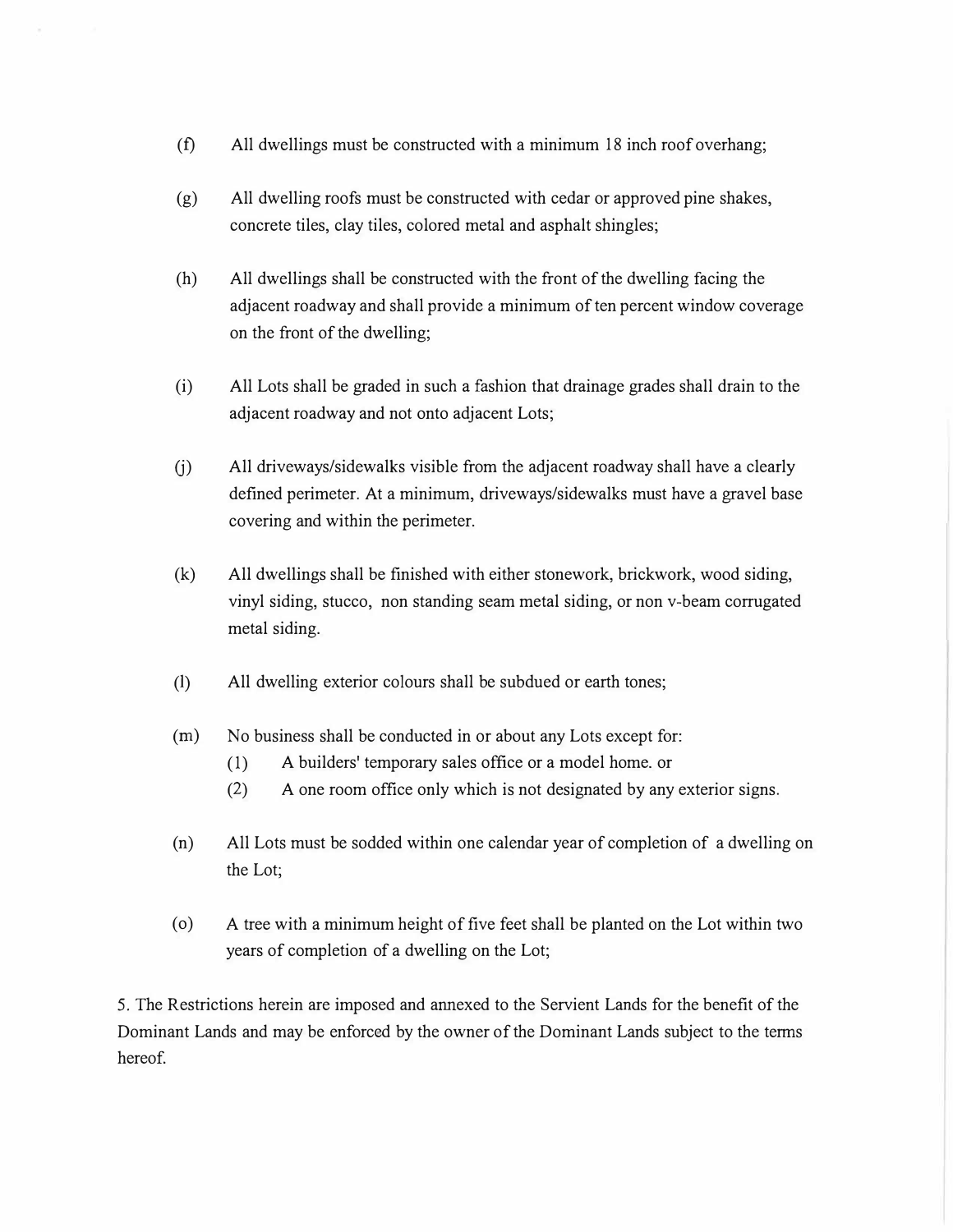- (f) All dwellings must be constructed with a minimum 18 inch roof overhang;
- (g) All dwelling roofs must be constructed with cedar or approved pine shakes, concrete tiles, clay tiles, colored metal and asphalt shingles;
- (h) All dwellings shall be constructed with the front of the dwelling facing the adjacent roadway and shall provide a minimum of ten percent window coverage on the front of the dwelling;
- (i) All Lots shall be graded in such a fashion that drainage grades shall drain to the adjacent roadway and not onto adjacent Lots;
- U) All driveways/sidewalks visible from the adjacent roadway shall have a clearly defined perimeter. At a minimum, driveways/sidewalks must have a gravel base covering and within the perimeter.
- (k) All dwellings shall be finished with either stonework, brickwork, wood siding, vinyl siding, stucco, non standing seam metal siding, or non v-beam corrugated metal siding.
- (1) All dwelling exterior colours shall be subdued or earth tones;
- (m) No business shall be conducted in or about any Lots except for:
	- (1) A builders' temporary sales office or a model home. or
	- (2) A one room office only which is not designated by any exterior signs.
- (n) All Lots must be sodded within one calendar year of completion of a dwelling on the Lot;
- ( o) A tree with a minimum height of five feet shall be planted on the Lot within two years of completion of a dwelling on the Lot;

5. The Restrictions herein are imposed and annexed to the Servient Lands for the benefit of the Dominant Lands and may be enforced by the owner of the Dominant Lands subject to the terms hereof.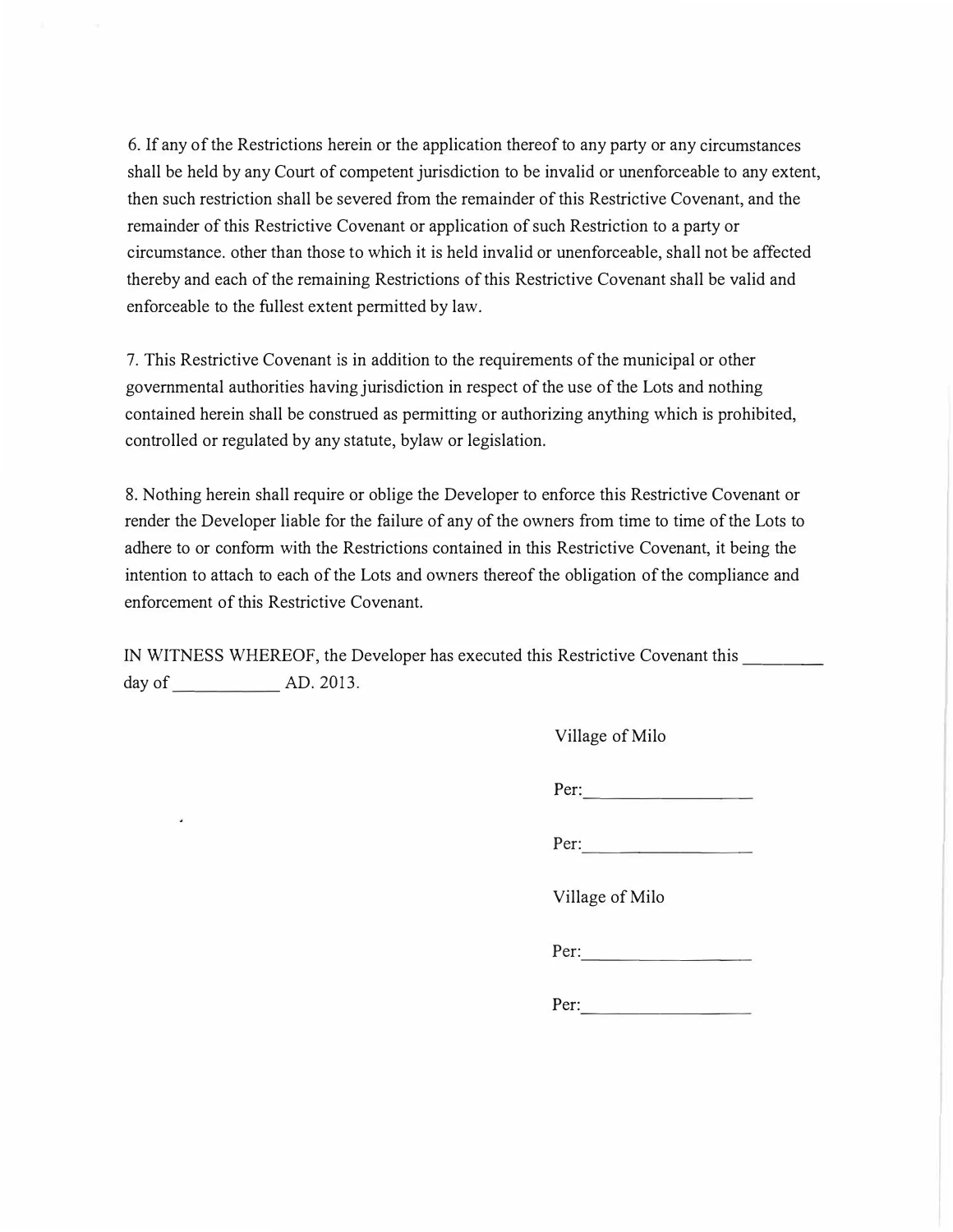6. If any of the Restrictions herein or the application thereof to any party or any circumstances shall be held by any Court of competent jurisdiction to be invalid or unenforceable to any extent, then such restriction shall be severed from the remainder of this Restrictive Covenant, and the remainder of this Restrictive Covenant or application of such Restriction to a party or circumstance. other than those to which it is held invalid or unenforceable, shall not be affected thereby and each of the remaining Restrictions of this Restrictive Covenant shall be valid and enforceable to the fullest extent permitted by law.

7. This Restrictive Covenant is in addition to the requirements of the municipal or other governmental authorities having jurisdiction in respect of the use of the Lots and nothing contained herein shall be construed as permitting or authorizing anything which is prohibited, controlled or regulated by any statute, bylaw or legislation.

8. Nothing herein shall require or oblige the Developer to enforce this Restrictive Covenant or render the Developer liable for the failure of any of the owners from time to time of the Lots to adhere to or conform with the Restrictions contained in this Restrictive Covenant, it being the intention to attach to each of the Lots and owners thereof the obligation of the compliance and enforcement of this Restrictive Covenant.

IN WITNESS WHEREOF, the Developer has executed this Restrictive Covenant this day of **AD. 2013.** 

|  | Village of Milo |
|--|-----------------|
|--|-----------------|

Per:

Per:

Village of Milo

Per:

Per: ---------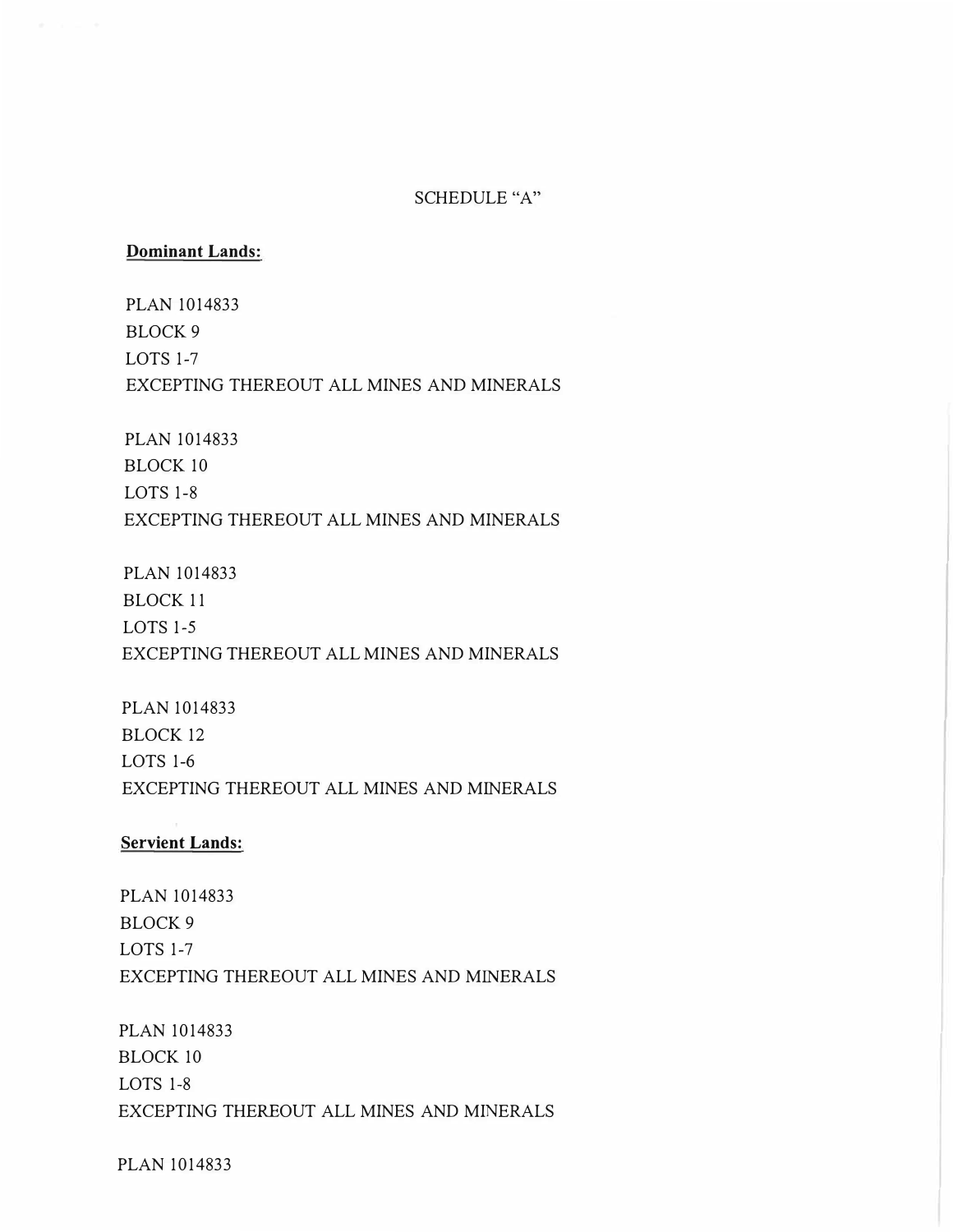# SCHEDULE "A"

### **Dominant Lands:**

PLAN 1014833 BLOCK9 LOTS 1-7 EXCEPTING THEREOUT ALL MINES AND MINERALS

PLAN 1014833 BLOCK 10 LOTS 1-8 EXCEPTING THEREOUT ALL MINES AND MINERALS

PLAN 1014833 BLOCK 11 LOTS 1-5 EXCEPTING THEREOUT ALL MINES AND MINERALS

PLAN 1014833 BLOCK 12 LOTS 1-6 EXCEPTING THEREOUT ALL MINES AND MINERALS

# **Servient Lands:**

PLAN 1014833 BLOCK9 LOTS 1-7 EXCEPTING THEREOUT ALL MINES AND MINERALS

PLAN 1014833 BLOCK 10 LOTS 1-8 EXCEPTING THEREOUT ALL MINES AND MINERALS

PLAN 1014833